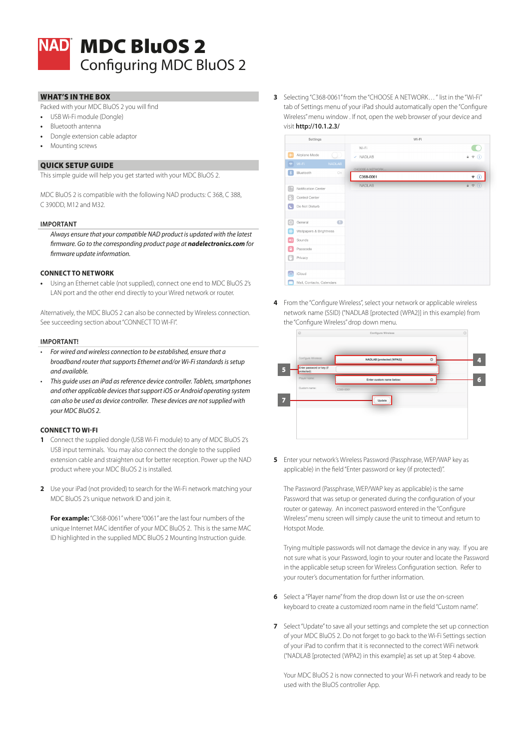

# MDC BluOS 2 Configuring MDC BluOS 2

## WHAT'S IN THE BOX

- Packed with your MDC BluOS 2 you will find
- **•** USB Wi-Fi module (Dongle)
- **•** Bluetooth antenna
- **•** Dongle extension cable adaptor
- **•** Mounting screws

#### QUICK SETUP GUIDE

This simple guide will help you get started with your MDC BluOS 2.

MDC BluOS 2 is compatible with the following NAD products: C 368, C 388, C 390DD, M12 and M32.

#### **IMPORTANT**

*Always ensure that your compatible NAD product is updated with the latest firmware. Go to the corresponding product page at nadelectronics.com for firmware update information.*

## **CONNECT TO NETWORK**

**•** Using an Ethernet cable (not supplied), connect one end to MDC BluOS 2's LAN port and the other end directly to your Wired network or router.

Alternatively, the MDC BluOS 2 can also be connected by Wireless connection. See succeeding section about "CONNECT TO WI-FI".

#### **IMPORTANT!**

- *• For wired and wireless connection to be established, ensure that a broadband router that supports Ethernet and/or Wi-Fi standards is setup and available.*
- *• This guide uses an iPad as reference device controller. Tablets, smartphones and other applicable devices that support iOS or Android operating system can also be used as device controller. These devices are not supplied with your MDC BluOS 2.*

## **CONNECT TO WI-FI**

- **1** Connect the supplied dongle (USB Wi-Fi module) to any of MDC BluOS 2's USB input terminals. You may also connect the dongle to the supplied extension cable and straighten out for better reception. Power up the NAD product where your MDC BluOS 2 is installed.
- **2** Use your iPad (not provided) to search for the Wi-Fi network matching your MDC BluOS 2's unique network ID and join it.

**For example:** "C368-0061" where "0061" are the last four numbers of the unique Internet MAC identifier of your MDC BluOS 2. This is the same MAC ID highlighted in the supplied MDC BluOS 2 Mounting Instruction guide.

**3** Selecting "C368-0061" from the "CHOOSE A NETWORK… " list in the "Wi-Fi" tab of Settings menu of your iPad should automatically open the "Configure Wireless" menu window . If not, open the web browser of your device and visit **http://10.1.2.3/**

| Settings      |                           |                | Wi-Fi            |         |  |
|---------------|---------------------------|----------------|------------------|---------|--|
|               |                           |                | Wi-Fi            |         |  |
| $\rightarrow$ | Airplane Mode             |                | $\nu$ NADLAB     | 4 ஈ (i) |  |
| $\hat{\tau}$  | Wi-Fi                     | <b>NADLAB</b>  | CHOOSE A NETWORK |         |  |
| ∣ ≱           | Bluetooth                 | On             | C368-0061        | ė<br>Œ  |  |
| n.            | Notification Center       |                | <b>NADLAB</b>    | 自示      |  |
| R             | Control Center            |                |                  |         |  |
| ۱C            | Do Not Disturb            |                |                  |         |  |
| $\odot$       | General                   | $\blacksquare$ |                  |         |  |
| ®             | Wallpapers & Brightness   |                |                  |         |  |
| ×,            | Sounds                    |                |                  |         |  |
| £             | Passcode                  |                |                  |         |  |
| ľ.            | Privacy                   |                |                  |         |  |
|               |                           |                |                  |         |  |
| ∕             | iCloud                    |                |                  |         |  |
|               | Mail, Contacts, Calendars |                |                  |         |  |

**4** From the "Configure Wireless", select your network or applicable wireless network name (SSID) ("NADLAB [protected (WPA2)] in this example) from the "Configure Wireless" drop down menu.



**5** Enter your network's Wireless Password (Passphrase, WEP/WAP key as applicable) in the field "Enter password or key (if protected)".

The Password (Passphrase, WEP/WAP key as applicable) is the same Password that was setup or generated during the configuration of your router or gateway. An incorrect password entered in the "Configure Wireless" menu screen will simply cause the unit to timeout and return to Hotspot Mode.

Trying multiple passwords will not damage the device in any way. If you are not sure what is your Password, login to your router and locate the Password in the applicable setup screen for Wireless Configuration section. Refer to your router's documentation for further information.

- **6** Select a "Player name" from the drop down list or use the on-screen keyboard to create a customized room name in the field "Custom name".
- **7** Select "Update" to save all your settings and complete the set up connection of your MDC BluOS 2. Do not forget to go back to the Wi-Fi Settings section of your iPad to confirm that it is reconnected to the correct WiFi network ("NADLAB [protected (WPA2) in this example] as set up at Step 4 above.

Your MDC BluOS 2 is now connected to your Wi-Fi network and ready to be used with the BluOS controller App.